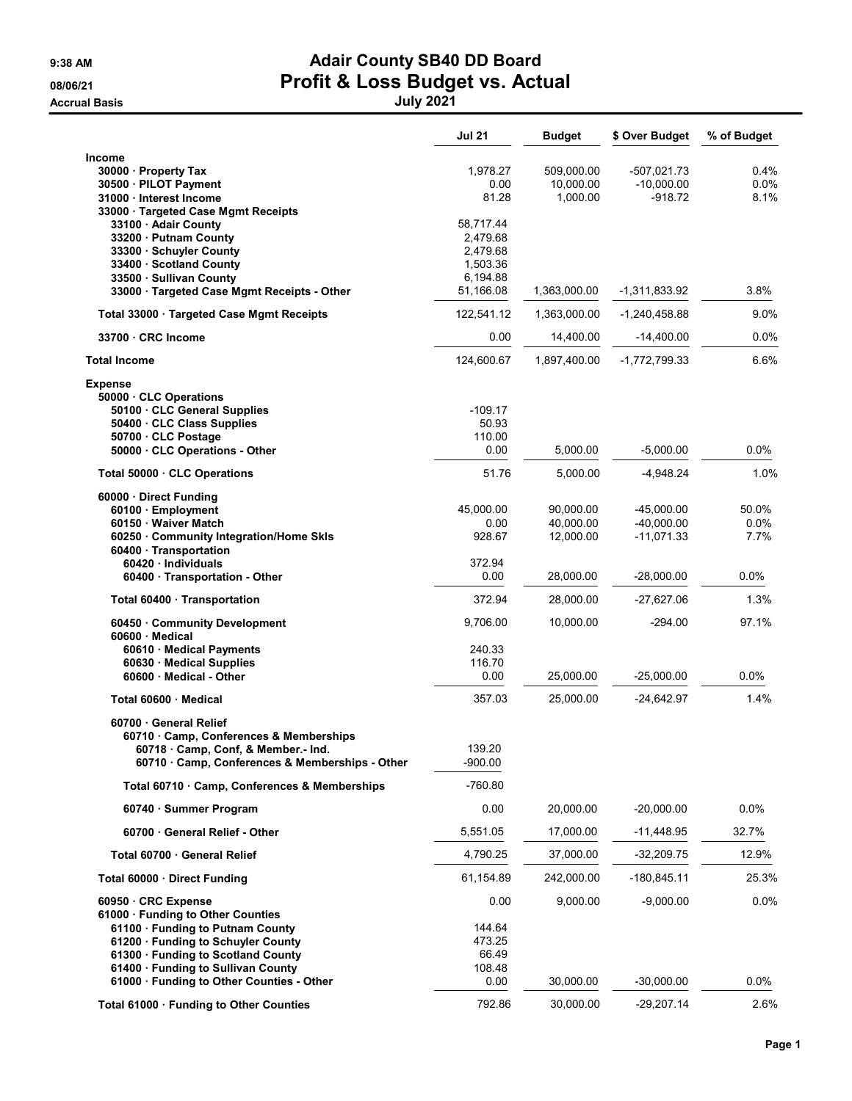## 9:38 AM **Adair County SB40 DD Board** 08/06/21 **Profit & Loss Budget vs. Actual**

Accrual Basis July 2021

|                                                                 | <b>Jul 21</b> | <b>Budget</b> | \$ Over Budget  | % of Budget |
|-----------------------------------------------------------------|---------------|---------------|-----------------|-------------|
| Income                                                          |               |               |                 |             |
| 30000 · Property Tax                                            | 1,978.27      | 509,000.00    | -507,021.73     | $0.4\%$     |
| 30500 · PILOT Payment                                           | 0.00          | 10,000.00     | $-10,000.00$    | 0.0%        |
| 31000 · Interest Income                                         | 81.28         | 1,000.00      | $-918.72$       | 8.1%        |
| 33000 · Targeted Case Mgmt Receipts<br>33100 · Adair County     | 58,717.44     |               |                 |             |
| 33200 · Putnam County                                           | 2,479.68      |               |                 |             |
| 33300 · Schuyler County                                         | 2,479.68      |               |                 |             |
| 33400 · Scotland County                                         | 1,503.36      |               |                 |             |
| 33500 · Sullivan County                                         | 6,194.88      |               |                 |             |
| 33000 · Targeted Case Mgmt Receipts - Other                     | 51,166.08     | 1,363,000.00  | -1,311,833.92   | 3.8%        |
| Total 33000 · Targeted Case Mgmt Receipts                       | 122,541.12    | 1,363,000.00  | $-1,240,458.88$ | 9.0%        |
| 33700 CRC Income                                                | 0.00          | 14,400.00     | $-14,400.00$    | $0.0\%$     |
| <b>Total Income</b>                                             | 124,600.67    | 1,897,400.00  | -1,772,799.33   | 6.6%        |
| <b>Expense</b>                                                  |               |               |                 |             |
| 50000 CLC Operations                                            |               |               |                 |             |
| 50100 · CLC General Supplies                                    | $-109.17$     |               |                 |             |
| 50400 CLC Class Supplies                                        | 50.93         |               |                 |             |
| 50700 CLC Postage                                               | 110.00        |               |                 |             |
| 50000 CLC Operations - Other                                    | 0.00          | 5,000.00      | $-5,000.00$     | $0.0\%$     |
| Total 50000 · CLC Operations                                    | 51.76         | 5,000.00      | $-4,948.24$     | 1.0%        |
| 60000 · Direct Funding                                          |               |               |                 |             |
| 60100 · Employment                                              | 45.000.00     | 90,000.00     | $-45,000.00$    | 50.0%       |
| 60150 Waiver Match                                              | 0.00          | 40,000.00     | $-40,000.00$    | 0.0%        |
| 60250 Community Integration/Home Skls<br>60400 · Transportation | 928.67        | 12,000.00     | $-11,071.33$    | 7.7%        |
| 60420 · Individuals                                             | 372.94        |               |                 |             |
| 60400 · Transportation - Other                                  | 0.00          | 28,000.00     | $-28,000.00$    | $0.0\%$     |
| Total 60400 · Transportation                                    | 372.94        | 28,000.00     | -27,627.06      | 1.3%        |
| 60450 Community Development                                     | 9,706.00      | 10,000.00     | $-294.00$       | 97.1%       |
| 60600 · Medical<br>60610 Medical Payments                       | 240.33        |               |                 |             |
| 60630 Medical Supplies                                          | 116.70        |               |                 |             |
| 60600 Medical - Other                                           | 0.00          | 25,000.00     | $-25,000.00$    | $0.0\%$     |
| Total 60600 · Medical                                           | 357.03        | 25,000.00     | $-24,642.97$    | 1.4%        |
|                                                                 |               |               |                 |             |
| 60700 General Relief<br>60710 Camp, Conferences & Memberships   |               |               |                 |             |
| 60718 · Camp, Conf, & Member.- Ind.                             | 139.20        |               |                 |             |
| 60710 · Camp, Conferences & Memberships - Other                 | $-900.00$     |               |                 |             |
| Total 60710 · Camp, Conferences & Memberships                   | $-760.80$     |               |                 |             |
| 60740 · Summer Program                                          | 0.00          | 20,000.00     | $-20,000.00$    | 0.0%        |
| 60700 General Relief - Other                                    | 5,551.05      | 17,000.00     | -11,448.95      | 32.7%       |
| Total 60700 · General Relief                                    | 4,790.25      | 37,000.00     | -32,209.75      | 12.9%       |
|                                                                 |               |               |                 |             |
| Total 60000 Direct Funding                                      | 61,154.89     | 242,000.00    | $-180,845.11$   | 25.3%       |
| 60950 CRC Expense<br>61000 · Funding to Other Counties          | 0.00          | 9,000.00      | $-9,000.00$     | 0.0%        |
| 61100 · Funding to Putnam County                                | 144.64        |               |                 |             |
| 61200 · Funding to Schuyler County                              | 473.25        |               |                 |             |
| 61300 Funding to Scotland County                                | 66.49         |               |                 |             |
| 61400 Funding to Sullivan County                                | 108.48        |               |                 |             |
| 61000 · Funding to Other Counties - Other                       | 0.00          | 30,000.00     | $-30,000.00$    | 0.0%        |
|                                                                 |               |               |                 |             |
| Total 61000 · Funding to Other Counties                         | 792.86        | 30,000.00     | $-29,207.14$    | 2.6%        |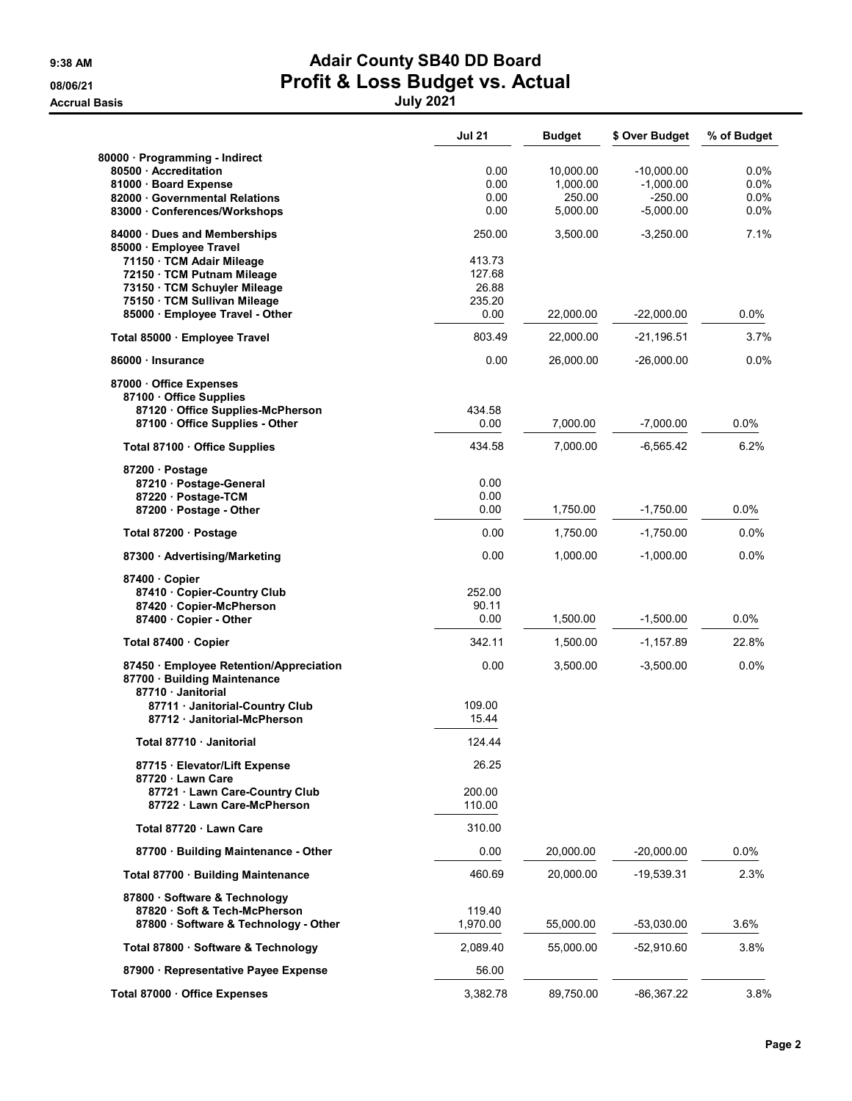## 9:38 AM **Adair County SB40 DD Board** 08/06/21 **Profit & Loss Budget vs. Actual** Accrual Basis July 2021

|                                                                                                                                                                                                                     | <b>Jul 21</b>                                         | <b>Budget</b>                               | \$ Over Budget                                        | % of Budget                        |
|---------------------------------------------------------------------------------------------------------------------------------------------------------------------------------------------------------------------|-------------------------------------------------------|---------------------------------------------|-------------------------------------------------------|------------------------------------|
| 80000 · Programming - Indirect<br>80500 Accreditation<br>81000 Board Expense<br>82000 Governmental Relations<br>83000 Conferences/Workshops                                                                         | 0.00<br>0.00<br>0.00<br>0.00                          | 10,000.00<br>1,000.00<br>250.00<br>5,000.00 | -10,000.00<br>$-1,000.00$<br>$-250.00$<br>$-5,000.00$ | 0.0%<br>$0.0\%$<br>0.0%<br>$0.0\%$ |
| 84000 Dues and Memberships<br>85000 · Employee Travel<br>71150 · TCM Adair Mileage<br>72150 · TCM Putnam Mileage<br>73150 · TCM Schuyler Mileage<br>75150 · TCM Sullivan Mileage<br>85000 · Employee Travel - Other | 250.00<br>413.73<br>127.68<br>26.88<br>235.20<br>0.00 | 3,500.00<br>22,000.00                       | $-3,250.00$<br>$-22,000.00$                           | 7.1%<br>0.0%                       |
| Total 85000 · Employee Travel                                                                                                                                                                                       | 803.49                                                | 22,000.00                                   | $-21,196.51$                                          | 3.7%                               |
| 86000 Insurance                                                                                                                                                                                                     | 0.00                                                  | 26,000.00                                   | -26,000.00                                            | 0.0%                               |
| 87000 Office Expenses<br>87100 Office Supplies<br>87120 Office Supplies-McPherson<br>87100 Office Supplies - Other                                                                                                  | 434.58<br>0.00                                        | 7,000.00                                    | $-7,000.00$                                           | 0.0%                               |
| Total 87100 · Office Supplies                                                                                                                                                                                       | 434.58                                                | 7,000.00                                    | $-6,565.42$                                           | 6.2%                               |
| 87200 · Postage<br>87210 Postage-General<br>87220 · Postage-TCM<br>87200 Postage - Other                                                                                                                            | 0.00<br>0.00<br>0.00                                  | 1,750.00                                    | $-1,750.00$                                           | 0.0%                               |
| Total 87200 · Postage                                                                                                                                                                                               | 0.00                                                  | 1,750.00                                    | $-1,750.00$                                           | 0.0%                               |
| 87300 Advertising/Marketing                                                                                                                                                                                         | 0.00                                                  | 1,000.00                                    | $-1,000.00$                                           | 0.0%                               |
| 87400 Copier<br>87410 Copier-Country Club<br>87420 Copier-McPherson<br>87400 Copier - Other                                                                                                                         | 252.00<br>90.11<br>0.00                               | 1,500.00                                    | $-1,500.00$                                           | $0.0\%$                            |
| Total 87400 · Copier                                                                                                                                                                                                | 342.11                                                | 1,500.00                                    | $-1,157.89$                                           | 22.8%                              |
| 87450 Employee Retention/Appreciation<br>87700 · Building Maintenance                                                                                                                                               | 0.00                                                  | 3,500.00                                    | $-3,500.00$                                           | 0.0%                               |
| 87710 Janitorial<br>87711 · Janitorial-Country Club<br>87712 Janitorial-McPherson                                                                                                                                   | 109.00<br>15.44                                       |                                             |                                                       |                                    |
| Total 87710 · Janitorial                                                                                                                                                                                            | 124.44                                                |                                             |                                                       |                                    |
| 87715 · Elevator/Lift Expense<br>87720 Lawn Care<br>87721 Lawn Care-Country Club                                                                                                                                    | 26.25<br>200.00                                       |                                             |                                                       |                                    |
| 87722 · Lawn Care-McPherson                                                                                                                                                                                         | 110.00                                                |                                             |                                                       |                                    |
| Total 87720 · Lawn Care                                                                                                                                                                                             | 310.00                                                |                                             |                                                       |                                    |
| 87700 Building Maintenance - Other                                                                                                                                                                                  | 0.00                                                  | 20,000.00                                   | $-20,000.00$                                          | $0.0\%$                            |
| Total 87700 · Building Maintenance                                                                                                                                                                                  | 460.69                                                | 20.000.00                                   | -19,539.31                                            | 2.3%                               |
| 87800 · Software & Technology<br>87820 · Soft & Tech-McPherson<br>87800 · Software & Technology - Other                                                                                                             | 119.40<br>1,970.00                                    | 55,000.00                                   | $-53,030.00$                                          | 3.6%                               |
| Total 87800 · Software & Technology                                                                                                                                                                                 | 2,089.40                                              | 55,000.00                                   | -52,910.60                                            | 3.8%                               |
| 87900 · Representative Payee Expense                                                                                                                                                                                | 56.00                                                 |                                             |                                                       |                                    |
| Total 87000 · Office Expenses                                                                                                                                                                                       | 3,382.78                                              | 89,750.00                                   | $-86,367.22$                                          | 3.8%                               |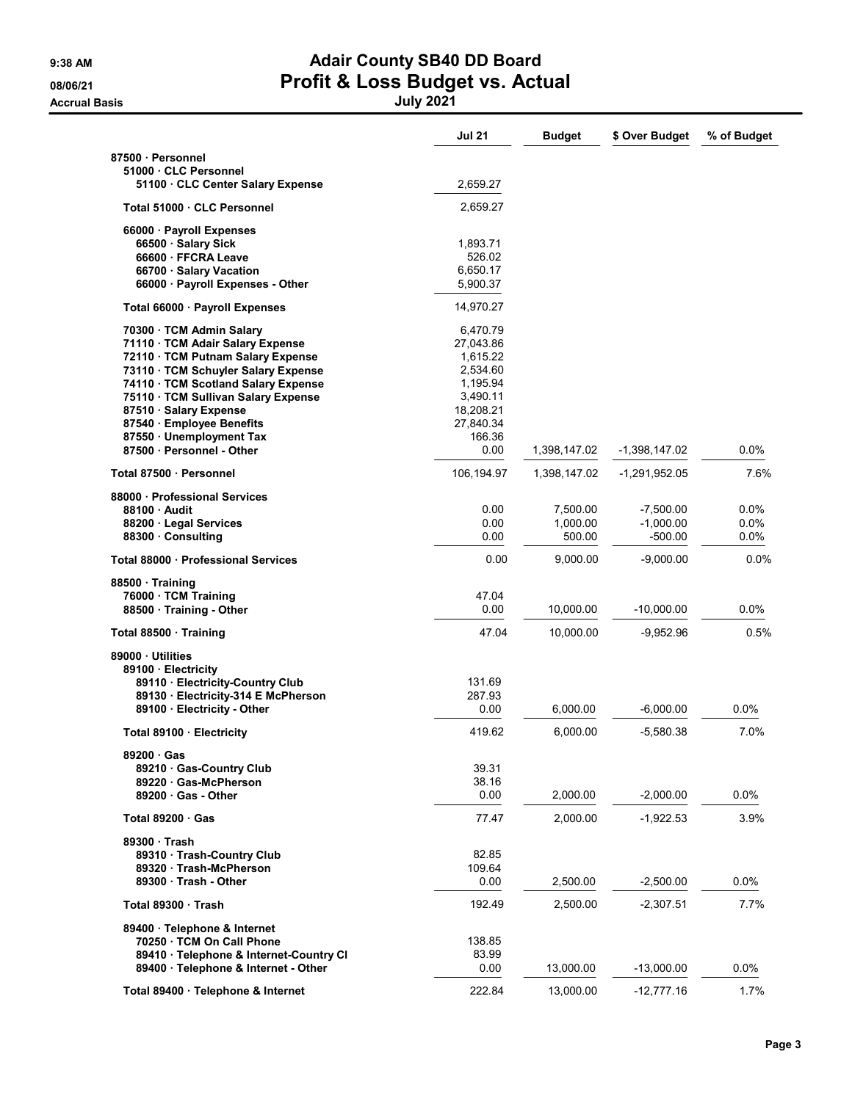## 9:38 AM **Adair County SB40 DD Board** 08/06/21 **Profit & Loss Budget vs. Actual** Accrual Basis July 2021

|                                                               | <b>Jul 21</b>         | <b>Budget</b> | \$ Over Budget | % of Budget |
|---------------------------------------------------------------|-----------------------|---------------|----------------|-------------|
| 87500 Personnel                                               |                       |               |                |             |
| 51000 · CLC Personnel<br>51100 CLC Center Salary Expense      | 2,659.27              |               |                |             |
| Total 51000 · CLC Personnel                                   | 2,659.27              |               |                |             |
| 66000 · Payroll Expenses                                      |                       |               |                |             |
| 66500 · Salary Sick                                           | 1,893.71              |               |                |             |
| 66600 · FFCRA Leave                                           | 526.02                |               |                |             |
| 66700 · Salary Vacation                                       | 6,650.17              |               |                |             |
| 66000 · Payroll Expenses - Other                              | 5,900.37              |               |                |             |
| Total 66000 · Payroll Expenses                                | 14,970.27             |               |                |             |
| 70300 TCM Admin Salary                                        | 6,470.79              |               |                |             |
| 71110 · TCM Adair Salary Expense                              | 27,043.86             |               |                |             |
| 72110 · TCM Putnam Salary Expense                             | 1,615.22              |               |                |             |
| 73110 · TCM Schuyler Salary Expense                           | 2,534.60              |               |                |             |
| 74110 · TCM Scotland Salary Expense                           | 1,195.94              |               |                |             |
| 75110 · TCM Sullivan Salary Expense<br>87510 · Salary Expense | 3,490.11<br>18,208.21 |               |                |             |
| 87540 · Employee Benefits                                     | 27,840.34             |               |                |             |
| 87550 · Unemployment Tax                                      | 166.36                |               |                |             |
| 87500 · Personnel - Other                                     | 0.00                  | 1,398,147.02  | -1,398,147.02  | 0.0%        |
| Total 87500 · Personnel                                       | 106,194.97            | 1,398,147.02  | -1,291,952.05  | 7.6%        |
| 88000 · Professional Services                                 |                       |               |                |             |
| 88100 Audit                                                   | 0.00                  | 7,500.00      | $-7,500.00$    | 0.0%        |
| 88200 · Legal Services                                        | 0.00                  | 1,000.00      | $-1,000.00$    | 0.0%        |
| 88300 Consulting                                              | 0.00                  | 500.00        | -500.00        | 0.0%        |
| Total 88000 Professional Services                             | 0.00                  | 9,000.00      | $-9,000.00$    | 0.0%        |
| 88500 Training                                                |                       |               |                |             |
| 76000 · TCM Training                                          | 47.04                 |               |                |             |
| 88500 Training - Other                                        | 0.00                  | 10,000.00     | $-10,000.00$   | $0.0\%$     |
| Total 88500 · Training                                        | 47.04                 | 10,000.00     | -9,952.96      | 0.5%        |
| 89000 Utilities                                               |                       |               |                |             |
| 89100 · Electricity                                           |                       |               |                |             |
| 89110 Electricity-Country Club                                | 131.69                |               |                |             |
| 89130 · Electricity-314 E McPherson                           | 287.93                |               |                |             |
| 89100 · Electricity - Other                                   | 0.00                  | 6,000.00      | $-6,000.00$    | 0.0%        |
| Total 89100 · Electricity                                     | 419.62                | 6,000.00      | $-5,580.38$    | 7.0%        |
| 89200 Gas                                                     |                       |               |                |             |
| 89210 Gas-Country Club                                        | 39.31                 |               |                |             |
| 89220 Gas-McPherson<br>89200 Gas - Other                      | 38.16<br>0.00         | 2,000.00      | $-2,000.00$    | $0.0\%$     |
| Total $89200 \cdot$ Gas                                       | 77.47                 | 2,000.00      | $-1,922.53$    | 3.9%        |
|                                                               |                       |               |                |             |
| 89300 Trash                                                   |                       |               |                |             |
| 89310 · Trash-Country Club                                    | 82.85                 |               |                |             |
| 89320 Trash-McPherson<br>89300 Trash - Other                  | 109.64<br>0.00        | 2,500.00      | $-2,500.00$    | 0.0%        |
|                                                               |                       |               |                |             |
| Total 89300 Trash                                             | 192.49                | 2,500.00      | $-2,307.51$    | 7.7%        |
| 89400 · Telephone & Internet                                  |                       |               |                |             |
| 70250 · TCM On Call Phone                                     | 138.85                |               |                |             |
| 89410 · Telephone & Internet-Country CI                       | 83.99                 |               |                |             |
| 89400 · Telephone & Internet - Other                          | 0.00                  | 13,000.00     | -13,000.00     | 0.0%        |
| Total 89400 · Telephone & Internet                            | 222.84                | 13,000.00     | $-12,777.16$   | 1.7%        |